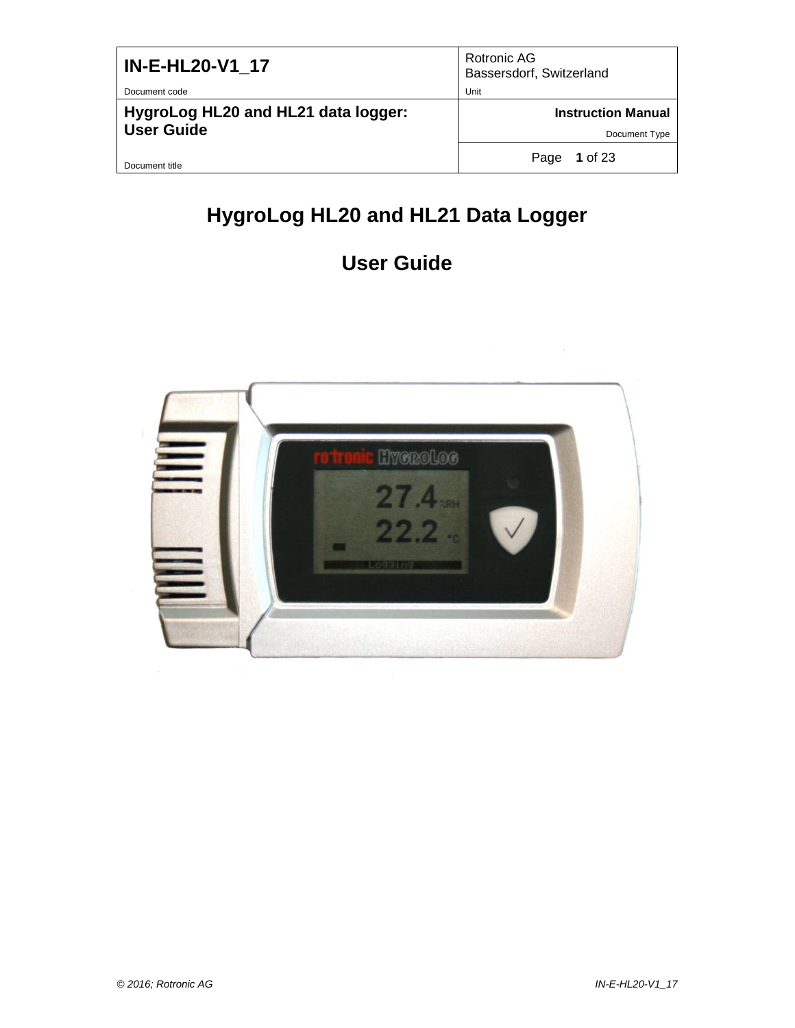| IN-E-HL20-V1 17                     | Rotronic AG<br>Bassersdorf, Switzerland |
|-------------------------------------|-----------------------------------------|
| Document code                       | Unit                                    |
| HygroLog HL20 and HL21 data logger: | <b>Instruction Manual</b>               |
| <b>User Guide</b>                   | Document Type                           |
| Document title                      | 1 of 23<br>Page                         |

# **HygroLog HL20 and HL21 Data Logger**

# **User Guide**

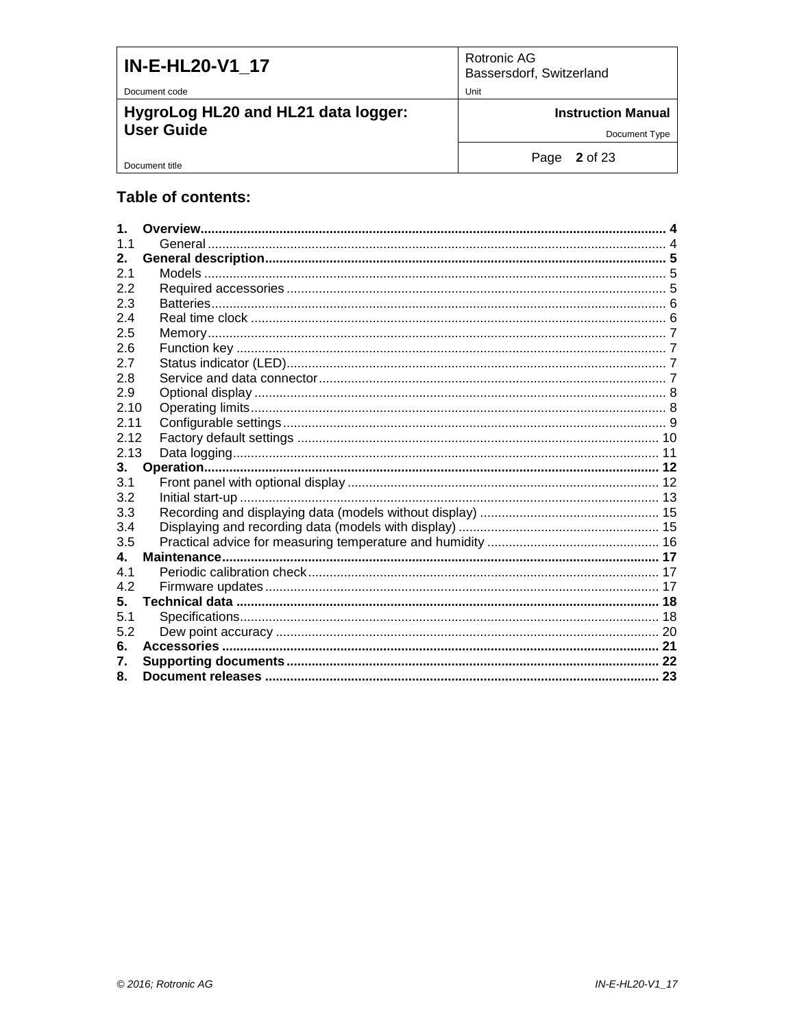| <b>IN-E-HL20-V1 17</b>                                   | Rotronic AG<br>Bassersdorf, Switzerland    |
|----------------------------------------------------------|--------------------------------------------|
| Document code                                            | Unit                                       |
| HygroLog HL20 and HL21 data logger:<br><b>User Guide</b> | <b>Instruction Manual</b><br>Document Type |
| Document title                                           | Page $2$ of 23                             |

### Table of contents:

| $\mathbf 1$    |  |
|----------------|--|
| 1 <sub>1</sub> |  |
| $2_{-}$        |  |
| 2.1            |  |
| 2.2            |  |
| 2.3            |  |
| 2.4            |  |
| 2.5            |  |
| 2.6            |  |
| 2.7            |  |
| 2.8            |  |
| 2.9            |  |
| 2.10           |  |
| 2.11           |  |
| 2.12           |  |
| 2.13           |  |
| 3.             |  |
| 3.1            |  |
| 3.2            |  |
| 3.3            |  |
| 3.4            |  |
| 3.5            |  |
| 4.             |  |
| 4.1            |  |
| 4.2            |  |
| 5.             |  |
| 5.1            |  |
| 5.2            |  |
| 6.             |  |
| 7.             |  |
| 8.             |  |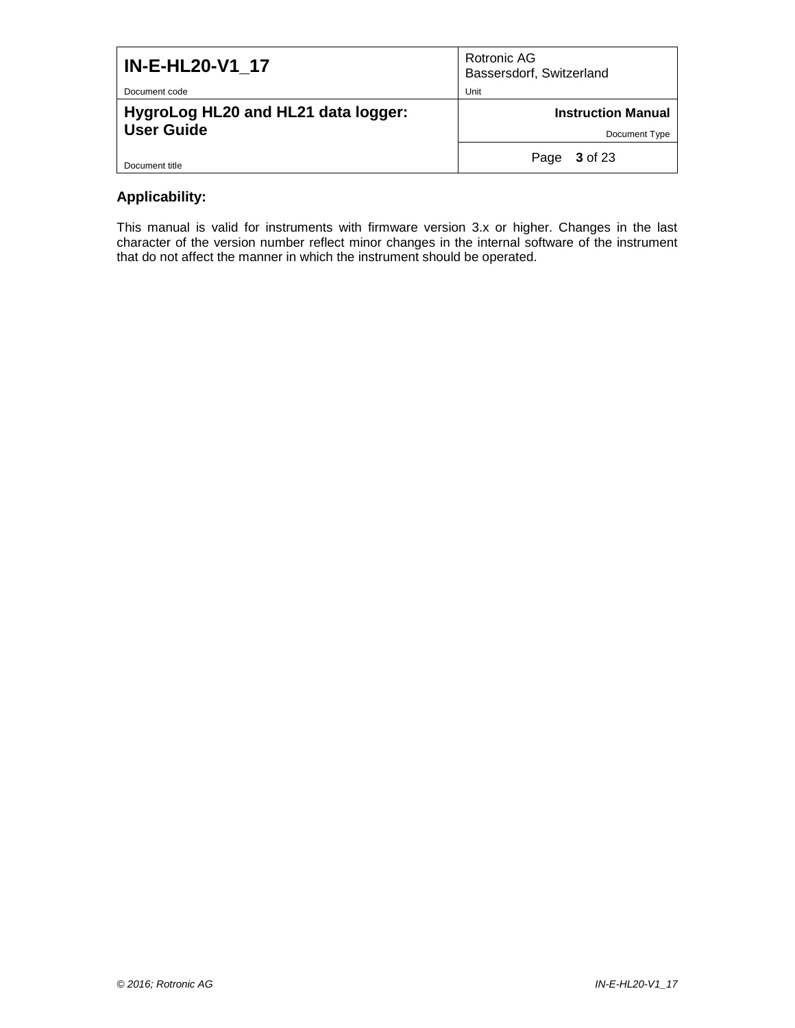| <b>IN-E-HL20-V1 17</b>                                   | Rotronic AG<br>Bassersdorf, Switzerland    |
|----------------------------------------------------------|--------------------------------------------|
| Document code                                            | Unit                                       |
| HygroLog HL20 and HL21 data logger:<br><b>User Guide</b> | <b>Instruction Manual</b><br>Document Type |
|                                                          |                                            |
| Document title                                           | 3 of 23<br>Page                            |

### **Applicability:**

This manual is valid for instruments with firmware version 3.x or higher. Changes in the last character of the version number reflect minor changes in the internal software of the instrument that do not affect the manner in which the instrument should be operated.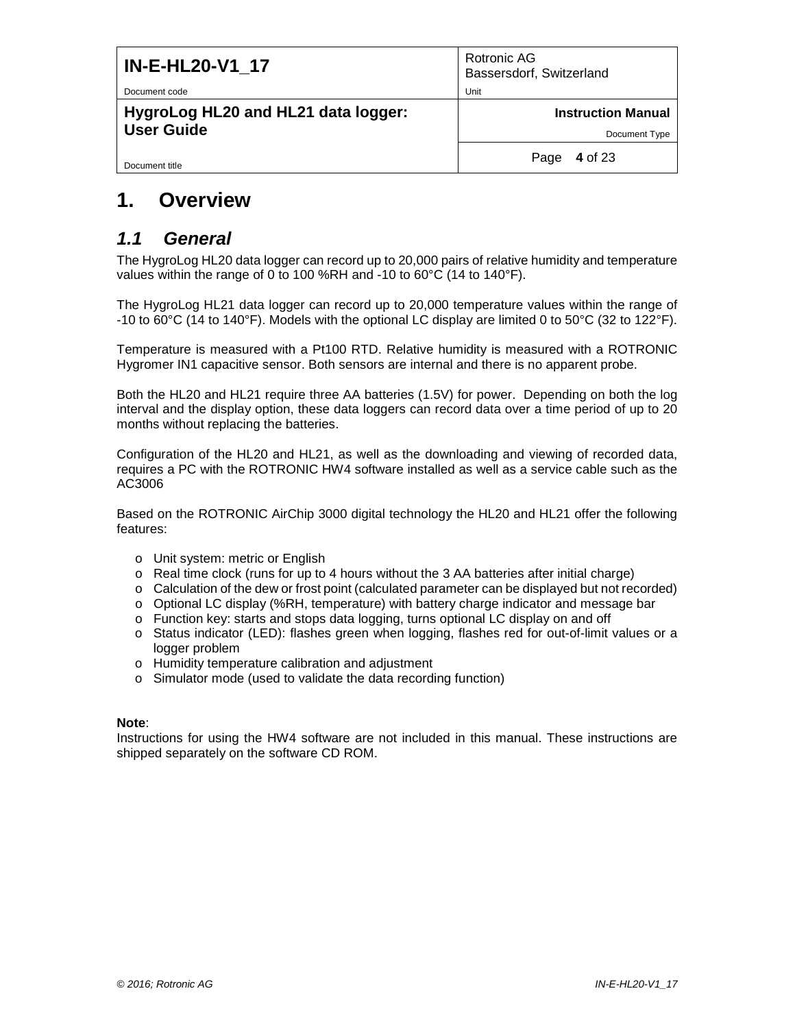| <b>IN-E-HL20-V1 17</b>                                   | Rotronic AG<br>Bassersdorf, Switzerland    |
|----------------------------------------------------------|--------------------------------------------|
| Document code                                            | Unit                                       |
| HygroLog HL20 and HL21 data logger:<br><b>User Guide</b> | <b>Instruction Manual</b><br>Document Type |
| Document title                                           | 4 of 23<br>Page                            |

# <span id="page-3-0"></span>**1. Overview**

### <span id="page-3-1"></span>*1.1 General*

The HygroLog HL20 data logger can record up to 20,000 pairs of relative humidity and temperature values within the range of 0 to 100 %RH and -10 to 60°C (14 to 140°F).

The HygroLog HL21 data logger can record up to 20,000 temperature values within the range of -10 to 60°C (14 to 140°F). Models with the optional LC display are limited 0 to 50°C (32 to 122°F).

Temperature is measured with a Pt100 RTD. Relative humidity is measured with a ROTRONIC Hygromer IN1 capacitive sensor. Both sensors are internal and there is no apparent probe.

Both the HL20 and HL21 require three AA batteries (1.5V) for power. Depending on both the log interval and the display option, these data loggers can record data over a time period of up to 20 months without replacing the batteries.

Configuration of the HL20 and HL21, as well as the downloading and viewing of recorded data, requires a PC with the ROTRONIC HW4 software installed as well as a service cable such as the AC3006

Based on the ROTRONIC AirChip 3000 digital technology the HL20 and HL21 offer the following features:

- o Unit system: metric or English
- o Real time clock (runs for up to 4 hours without the 3 AA batteries after initial charge)
- o Calculation of the dew or frost point (calculated parameter can be displayed but not recorded)
- o Optional LC display (%RH, temperature) with battery charge indicator and message bar
- o Function key: starts and stops data logging, turns optional LC display on and off
- o Status indicator (LED): flashes green when logging, flashes red for out-of-limit values or a logger problem
- o Humidity temperature calibration and adjustment
- o Simulator mode (used to validate the data recording function)

#### **Note**:

Instructions for using the HW4 software are not included in this manual. These instructions are shipped separately on the software CD ROM.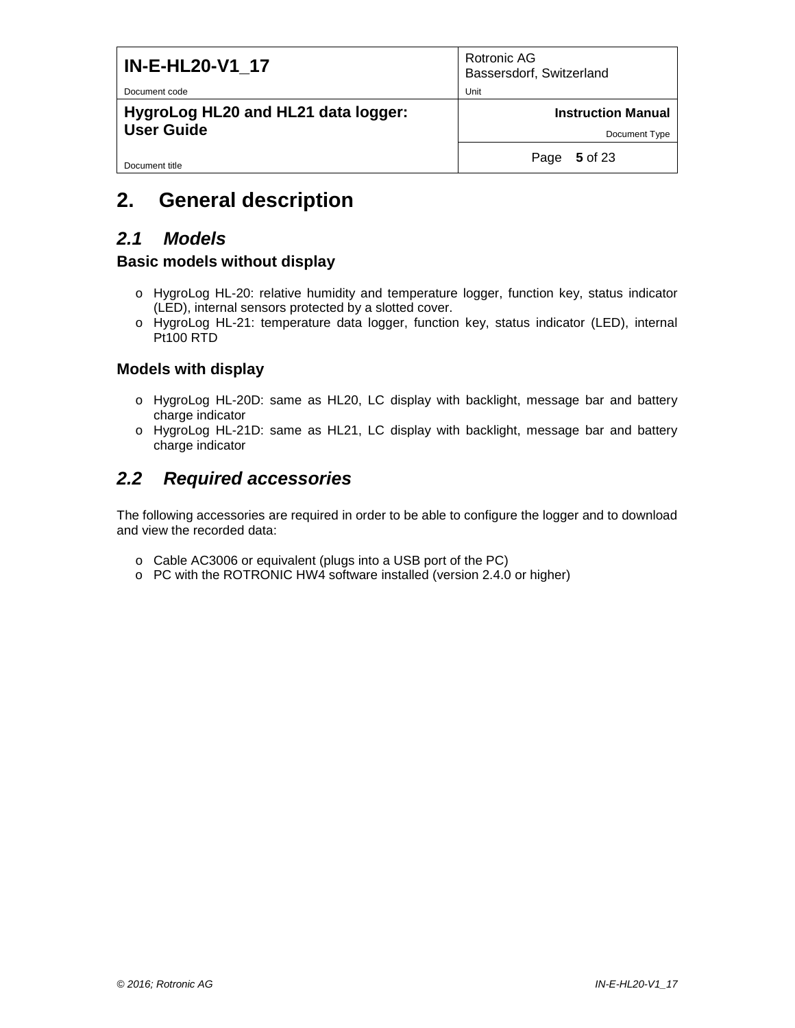| <b>IN-E-HL20-V1 17</b><br>Document code                  | Rotronic AG<br>Bassersdorf, Switzerland<br>Unit |
|----------------------------------------------------------|-------------------------------------------------|
| HygroLog HL20 and HL21 data logger:<br><b>User Guide</b> | <b>Instruction Manual</b><br>Document Type      |
| Document title                                           | 5 of 23<br>Page                                 |

# <span id="page-4-0"></span>**2. General description**

### <span id="page-4-1"></span>*2.1 Models*

### **Basic models without display**

- o HygroLog HL-20: relative humidity and temperature logger, function key, status indicator (LED), internal sensors protected by a slotted cover.
- o HygroLog HL-21: temperature data logger, function key, status indicator (LED), internal Pt100 RTD

### **Models with display**

- o HygroLog HL-20D: same as HL20, LC display with backlight, message bar and battery charge indicator
- o HygroLog HL-21D: same as HL21, LC display with backlight, message bar and battery charge indicator

### <span id="page-4-2"></span>*2.2 Required accessories*

The following accessories are required in order to be able to configure the logger and to download and view the recorded data:

- o Cable AC3006 or equivalent (plugs into a USB port of the PC)
- o PC with the ROTRONIC HW4 software installed (version 2.4.0 or higher)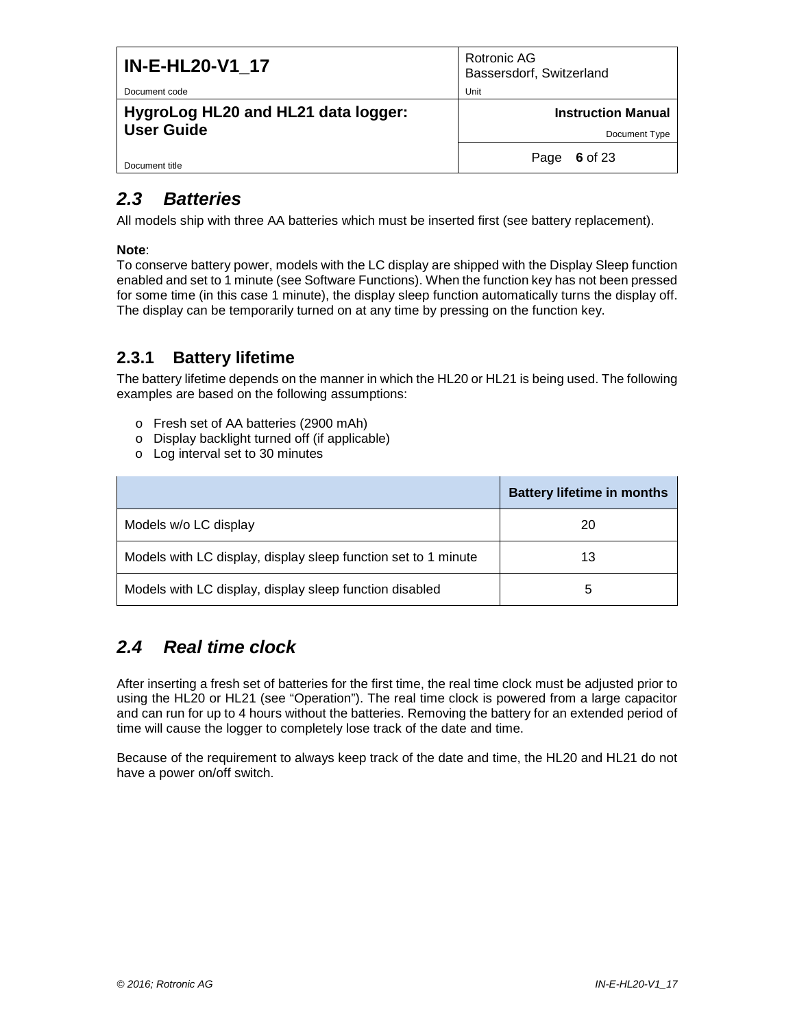| <b>IN-E-HL20-V1 17</b>                                   | Rotronic AG<br>Bassersdorf, Switzerland    |
|----------------------------------------------------------|--------------------------------------------|
| Document code                                            | Unit                                       |
| HygroLog HL20 and HL21 data logger:<br><b>User Guide</b> | <b>Instruction Manual</b><br>Document Type |
| Document title                                           | 6 of 23<br>Page                            |

# <span id="page-5-0"></span>*2.3 Batteries*

All models ship with three AA batteries which must be inserted first (see battery replacement).

#### **Note**:

To conserve battery power, models with the LC display are shipped with the Display Sleep function enabled and set to 1 minute (see Software Functions). When the function key has not been pressed for some time (in this case 1 minute), the display sleep function automatically turns the display off. The display can be temporarily turned on at any time by pressing on the function key.

### **2.3.1 Battery lifetime**

The battery lifetime depends on the manner in which the HL20 or HL21 is being used. The following examples are based on the following assumptions:

- o Fresh set of AA batteries (2900 mAh)
- o Display backlight turned off (if applicable)
- o Log interval set to 30 minutes

|                                                                | <b>Battery lifetime in months</b> |
|----------------------------------------------------------------|-----------------------------------|
| Models w/o LC display                                          | 20                                |
| Models with LC display, display sleep function set to 1 minute | 13                                |
| Models with LC display, display sleep function disabled        | 5                                 |

# <span id="page-5-1"></span>*2.4 Real time clock*

After inserting a fresh set of batteries for the first time, the real time clock must be adjusted prior to using the HL20 or HL21 (see "Operation"). The real time clock is powered from a large capacitor and can run for up to 4 hours without the batteries. Removing the battery for an extended period of time will cause the logger to completely lose track of the date and time.

Because of the requirement to always keep track of the date and time, the HL20 and HL21 do not have a power on/off switch.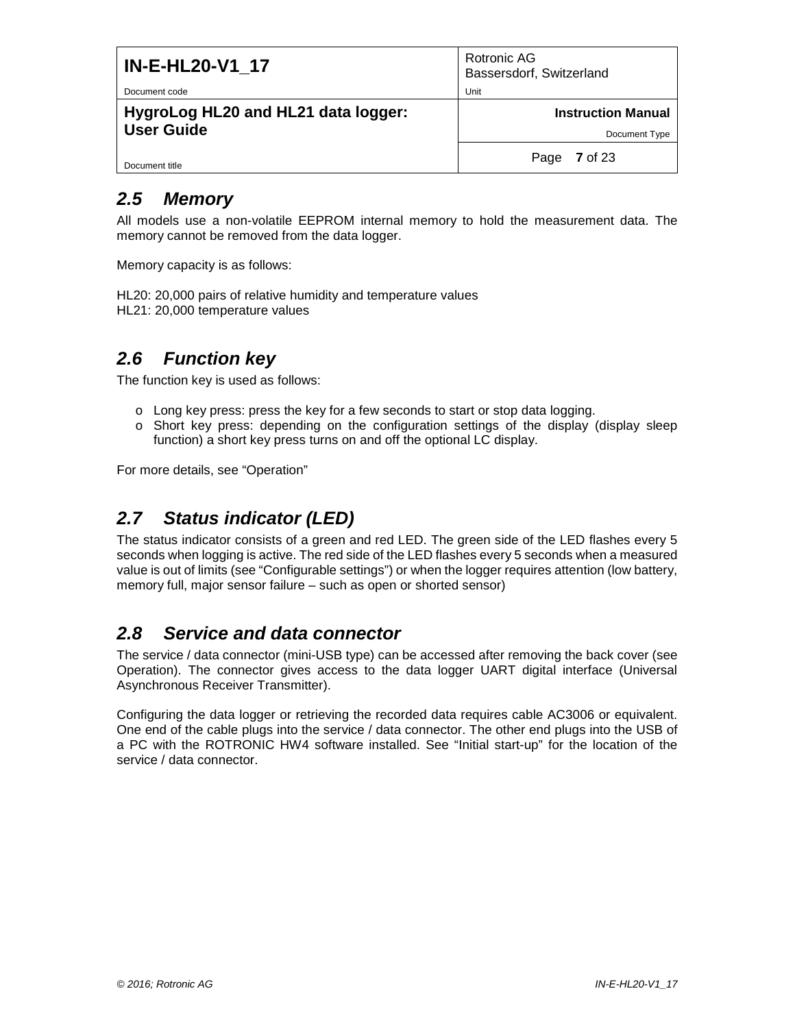| <b>IN-E-HL20-V1 17</b>                                   | Rotronic AG<br>Bassersdorf, Switzerland    |
|----------------------------------------------------------|--------------------------------------------|
| Document code                                            | Unit                                       |
| HygroLog HL20 and HL21 data logger:<br><b>User Guide</b> | <b>Instruction Manual</b><br>Document Type |
| Document title                                           | 7 of 23<br>Page                            |
|                                                          |                                            |

## <span id="page-6-0"></span>*2.5 Memory*

All models use a non-volatile EEPROM internal memory to hold the measurement data. The memory cannot be removed from the data logger.

Memory capacity is as follows:

HL20: 20,000 pairs of relative humidity and temperature values HL21: 20,000 temperature values

## <span id="page-6-1"></span>*2.6 Function key*

The function key is used as follows:

- o Long key press: press the key for a few seconds to start or stop data logging.
- o Short key press: depending on the configuration settings of the display (display sleep function) a short key press turns on and off the optional LC display.

For more details, see "Operation"

# <span id="page-6-2"></span>*2.7 Status indicator (LED)*

The status indicator consists of a green and red LED. The green side of the LED flashes every 5 seconds when logging is active. The red side of the LED flashes every 5 seconds when a measured value is out of limits (see "Configurable settings") or when the logger requires attention (low battery, memory full, major sensor failure – such as open or shorted sensor)

### <span id="page-6-3"></span>*2.8 Service and data connector*

The service / data connector (mini-USB type) can be accessed after removing the back cover (see Operation). The connector gives access to the data logger UART digital interface (Universal Asynchronous Receiver Transmitter).

Configuring the data logger or retrieving the recorded data requires cable AC3006 or equivalent. One end of the cable plugs into the service / data connector. The other end plugs into the USB of a PC with the ROTRONIC HW4 software installed. See "Initial start-up" for the location of the service / data connector.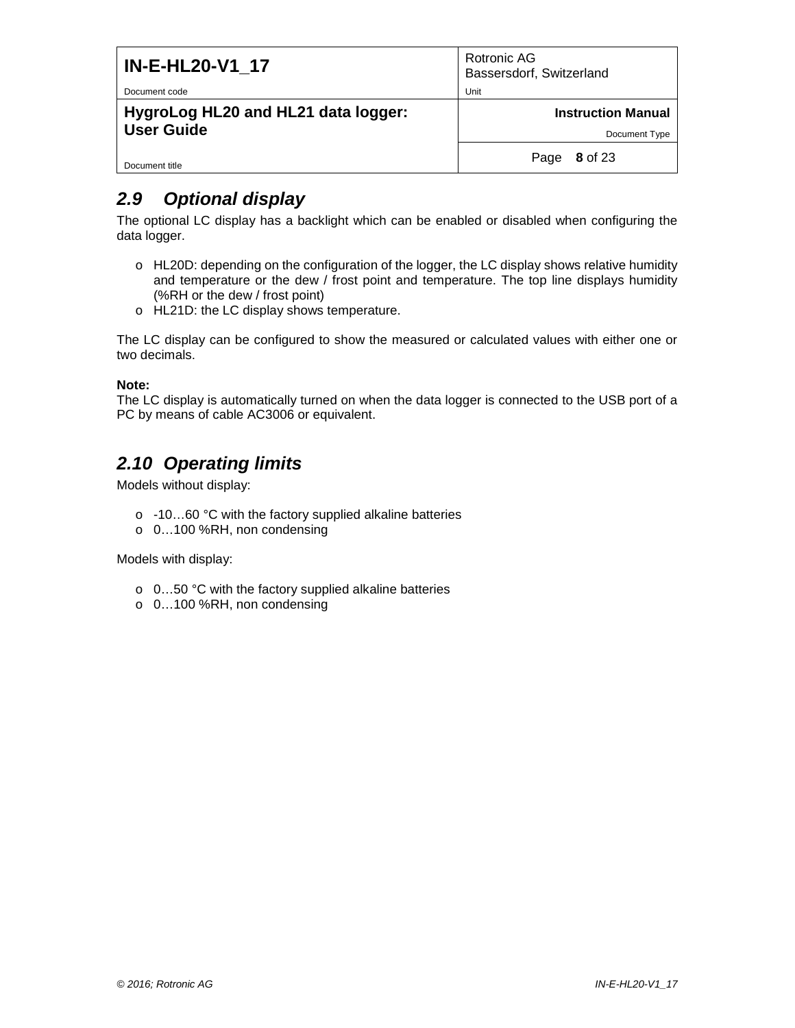| <b>IN-E-HL20-V1 17</b>              | Rotronic AG<br>Bassersdorf, Switzerland |
|-------------------------------------|-----------------------------------------|
| Document code                       | Unit                                    |
| HygroLog HL20 and HL21 data logger: | <b>Instruction Manual</b>               |
| <b>User Guide</b>                   | Document Type                           |
| Document title                      | 8 of 23<br>Page                         |

# <span id="page-7-0"></span>*2.9 Optional display*

The optional LC display has a backlight which can be enabled or disabled when configuring the data logger.

- o HL20D: depending on the configuration of the logger, the LC display shows relative humidity and temperature or the dew / frost point and temperature. The top line displays humidity (%RH or the dew / frost point)
- o HL21D: the LC display shows temperature.

The LC display can be configured to show the measured or calculated values with either one or two decimals.

#### **Note:**

The LC display is automatically turned on when the data logger is connected to the USB port of a PC by means of cable AC3006 or equivalent.

# <span id="page-7-1"></span>*2.10 Operating limits*

Models without display:

- o -10…60 °C with the factory supplied alkaline batteries
- o 0…100 %RH, non condensing

Models with display:

- o 0…50 °C with the factory supplied alkaline batteries
- o 0…100 %RH, non condensing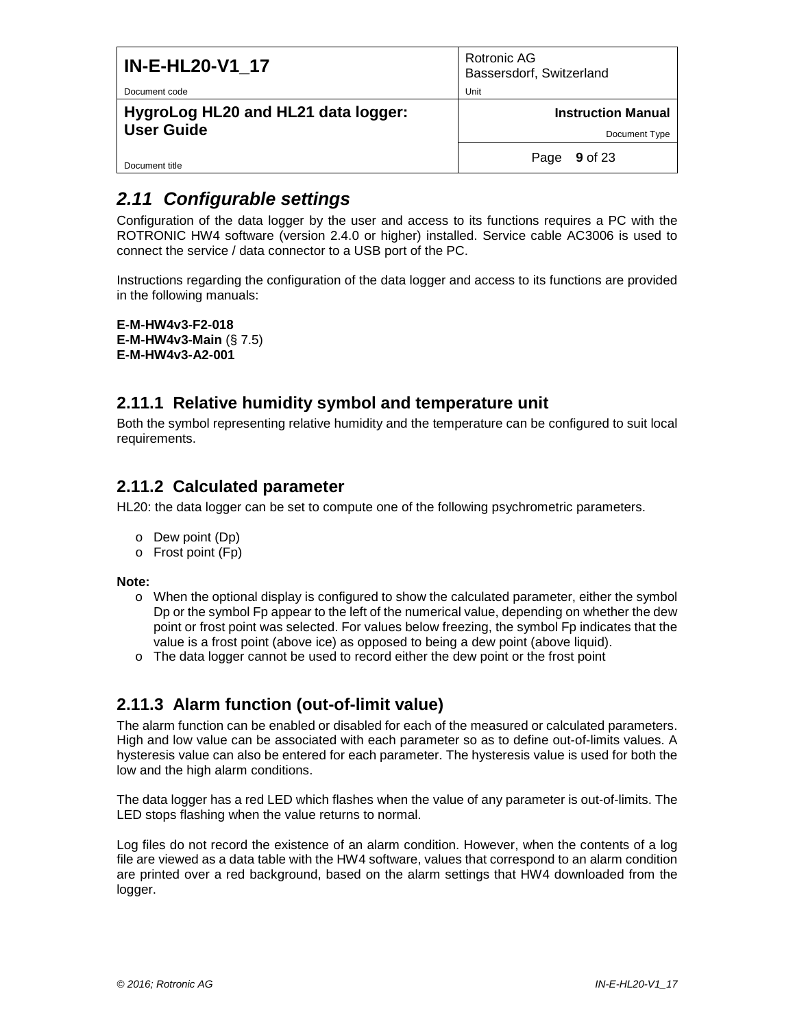| <b>IN-E-HL20-V1_17</b>                                   | Rotronic AG<br>Bassersdorf, Switzerland    |
|----------------------------------------------------------|--------------------------------------------|
| Document code                                            | Unit                                       |
| HygroLog HL20 and HL21 data logger:<br><b>User Guide</b> | <b>Instruction Manual</b><br>Document Type |
| Document title                                           | <b>9</b> of 23<br>Page                     |

## <span id="page-8-0"></span>*2.11 Configurable settings*

Configuration of the data logger by the user and access to its functions requires a PC with the ROTRONIC HW4 software (version 2.4.0 or higher) installed. Service cable AC3006 is used to connect the service / data connector to a USB port of the PC.

Instructions regarding the configuration of the data logger and access to its functions are provided in the following manuals:

```
E-M-HW4v3-F2-018
E-M-HW4v3-Main (§ 7.5)
E-M-HW4v3-A2-001
```
### **2.11.1 Relative humidity symbol and temperature unit**

Both the symbol representing relative humidity and the temperature can be configured to suit local requirements.

### **2.11.2 Calculated parameter**

HL20: the data logger can be set to compute one of the following psychrometric parameters.

- o Dew point (Dp)
- o Frost point (Fp)

**Note:**

- $\circ$  When the optional display is configured to show the calculated parameter, either the symbol Dp or the symbol Fp appear to the left of the numerical value, depending on whether the dew point or frost point was selected. For values below freezing, the symbol Fp indicates that the value is a frost point (above ice) as opposed to being a dew point (above liquid).
- o The data logger cannot be used to record either the dew point or the frost point

### **2.11.3 Alarm function (out-of-limit value)**

The alarm function can be enabled or disabled for each of the measured or calculated parameters. High and low value can be associated with each parameter so as to define out-of-limits values. A hysteresis value can also be entered for each parameter. The hysteresis value is used for both the low and the high alarm conditions.

The data logger has a red LED which flashes when the value of any parameter is out-of-limits. The LED stops flashing when the value returns to normal.

Log files do not record the existence of an alarm condition. However, when the contents of a log file are viewed as a data table with the HW4 software, values that correspond to an alarm condition are printed over a red background, based on the alarm settings that HW4 downloaded from the logger.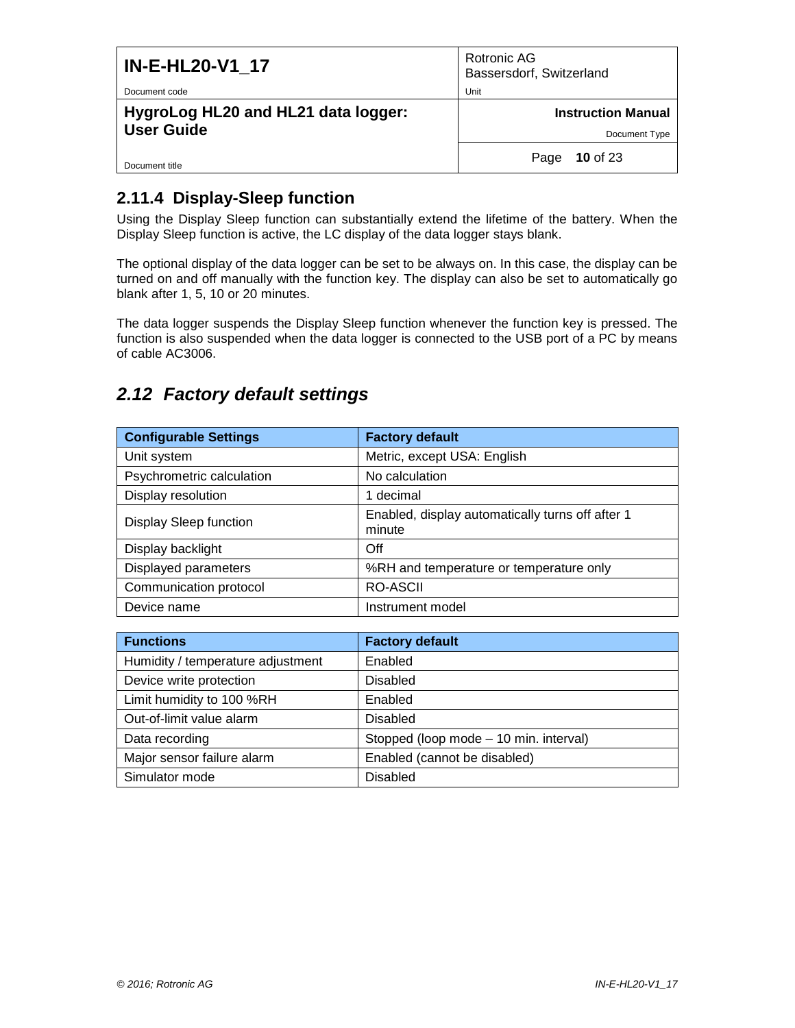| <b>IN-E-HL20-V1 17</b>                                   | Rotronic AG<br>Bassersdorf, Switzerland |
|----------------------------------------------------------|-----------------------------------------|
| Document code                                            | Unit                                    |
| HygroLog HL20 and HL21 data logger:<br><b>User Guide</b> | <b>Instruction Manual</b>               |
|                                                          | Document Type                           |
| Document title                                           | 10 of 23<br>Page                        |

### **2.11.4 Display-Sleep function**

Using the Display Sleep function can substantially extend the lifetime of the battery. When the Display Sleep function is active, the LC display of the data logger stays blank.

The optional display of the data logger can be set to be always on. In this case, the display can be turned on and off manually with the function key. The display can also be set to automatically go blank after 1, 5, 10 or 20 minutes.

The data logger suspends the Display Sleep function whenever the function key is pressed. The function is also suspended when the data logger is connected to the USB port of a PC by means of cable AC3006.

## <span id="page-9-0"></span>*2.12 Factory default settings*

| <b>Configurable Settings</b> | <b>Factory default</b>                                     |
|------------------------------|------------------------------------------------------------|
| Unit system                  | Metric, except USA: English                                |
| Psychrometric calculation    | No calculation                                             |
| Display resolution           | 1 decimal                                                  |
| Display Sleep function       | Enabled, display automatically turns off after 1<br>minute |
| Display backlight            | Off                                                        |
| Displayed parameters         | %RH and temperature or temperature only                    |
| Communication protocol       | <b>RO-ASCII</b>                                            |
| Device name                  | Instrument model                                           |

| <b>Functions</b>                  | <b>Factory default</b>                 |
|-----------------------------------|----------------------------------------|
| Humidity / temperature adjustment | Enabled                                |
| Device write protection           | Disabled                               |
| Limit humidity to 100 %RH         | Enabled                                |
| Out-of-limit value alarm          | <b>Disabled</b>                        |
| Data recording                    | Stopped (loop mode - 10 min. interval) |
| Major sensor failure alarm        | Enabled (cannot be disabled)           |
| Simulator mode                    | <b>Disabled</b>                        |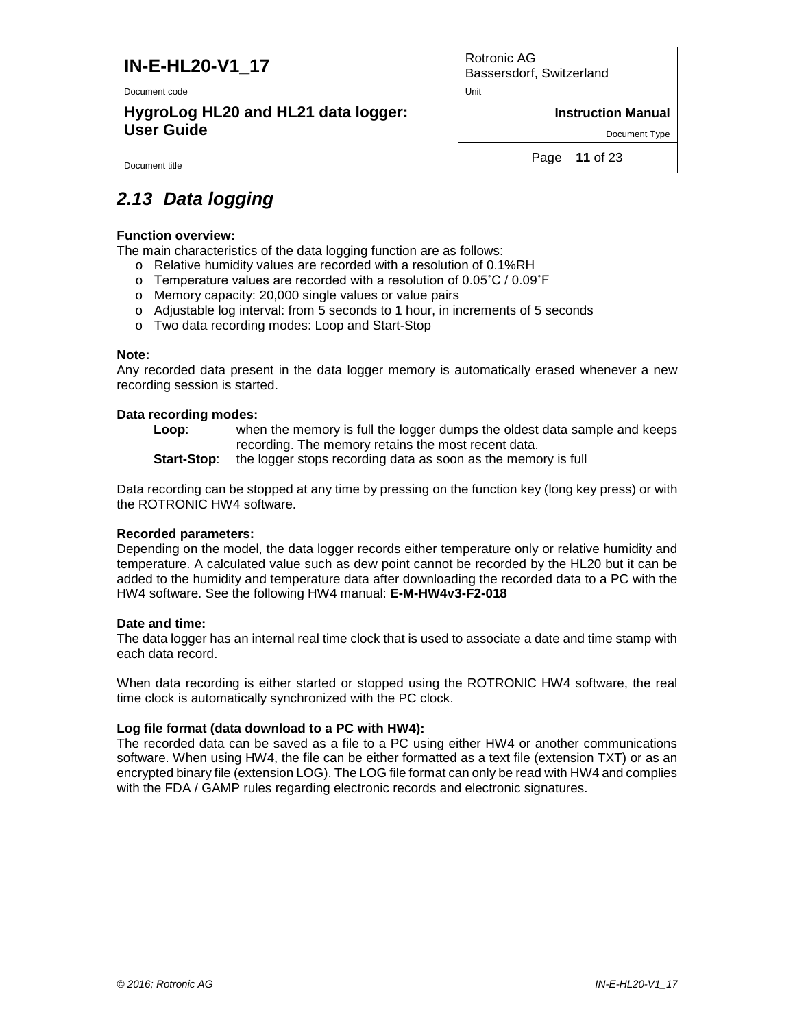| <b>IN-E-HL20-V1 17</b>              | Rotronic AG<br>Bassersdorf, Switzerland |
|-------------------------------------|-----------------------------------------|
| Document code                       | Unit                                    |
| HygroLog HL20 and HL21 data logger: | <b>Instruction Manual</b>               |
| <b>User Guide</b>                   | Document Type                           |
| Document title                      | Page 11 of 23                           |

# <span id="page-10-0"></span>*2.13 Data logging*

#### **Function overview:**

The main characteristics of the data logging function are as follows:

- o Relative humidity values are recorded with a resolution of 0.1%RH
- o Temperature values are recorded with a resolution of 0.05˚C / 0.09˚F
- o Memory capacity: 20,000 single values or value pairs
- o Adjustable log interval: from 5 seconds to 1 hour, in increments of 5 seconds
- o Two data recording modes: Loop and Start-Stop

#### **Note:**

Any recorded data present in the data logger memory is automatically erased whenever a new recording session is started.

#### **Data recording modes:**

**Loop**: when the memory is full the logger dumps the oldest data sample and keeps recording. The memory retains the most recent data.

**Start-Stop**: the logger stops recording data as soon as the memory is full

Data recording can be stopped at any time by pressing on the function key (long key press) or with the ROTRONIC HW4 software.

#### **Recorded parameters:**

Depending on the model, the data logger records either temperature only or relative humidity and temperature. A calculated value such as dew point cannot be recorded by the HL20 but it can be added to the humidity and temperature data after downloading the recorded data to a PC with the HW4 software. See the following HW4 manual: **E-M-HW4v3-F2-018**

#### **Date and time:**

The data logger has an internal real time clock that is used to associate a date and time stamp with each data record.

When data recording is either started or stopped using the ROTRONIC HW4 software, the real time clock is automatically synchronized with the PC clock.

#### **Log file format (data download to a PC with HW4):**

The recorded data can be saved as a file to a PC using either HW4 or another communications software. When using HW4, the file can be either formatted as a text file (extension TXT) or as an encrypted binary file (extension LOG). The LOG file format can only be read with HW4 and complies with the FDA / GAMP rules regarding electronic records and electronic signatures.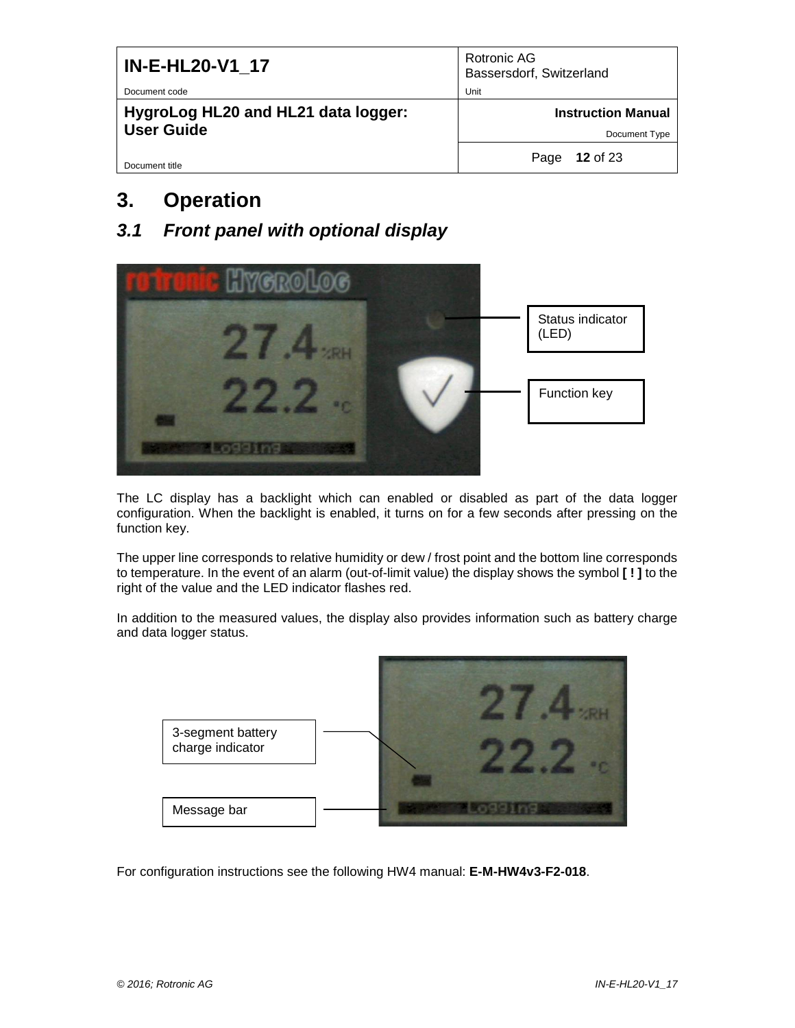| <b>IN-E-HL20-V1_17</b>              | Rotronic AG<br>Bassersdorf, Switzerland |
|-------------------------------------|-----------------------------------------|
| Document code                       | Unit                                    |
| HygroLog HL20 and HL21 data logger: | <b>Instruction Manual</b>               |
| <b>User Guide</b>                   | Document Type                           |
| Document title                      | <b>12 of 23</b><br>Page                 |

# <span id="page-11-0"></span>**3. Operation**

<span id="page-11-1"></span>*3.1 Front panel with optional display*



The LC display has a backlight which can enabled or disabled as part of the data logger configuration. When the backlight is enabled, it turns on for a few seconds after pressing on the function key.

The upper line corresponds to relative humidity or dew / frost point and the bottom line corresponds to temperature. In the event of an alarm (out-of-limit value) the display shows the symbol **[ ! ]** to the right of the value and the LED indicator flashes red.

In addition to the measured values, the display also provides information such as battery charge and data logger status.



For configuration instructions see the following HW4 manual: **E-M-HW4v3-F2-018**.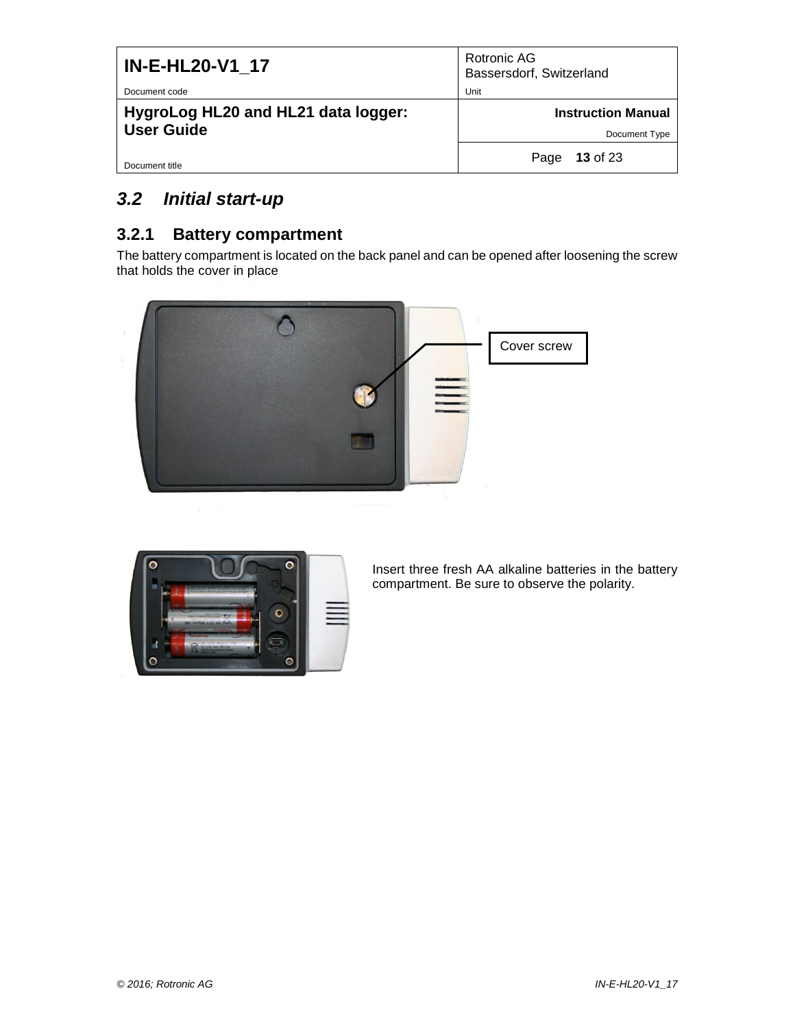| <b>IN-E-HL20-V1_17</b>              | Rotronic AG<br>Bassersdorf, Switzerland |
|-------------------------------------|-----------------------------------------|
| Document code                       | Unit                                    |
| HygroLog HL20 and HL21 data logger: | <b>Instruction Manual</b>               |
| <b>User Guide</b>                   | Document Type                           |
| Document title                      | 13 of 23<br>Page                        |

# <span id="page-12-0"></span>*3.2 Initial start-up*

### **3.2.1 Battery compartment**

The battery compartment is located on the back panel and can be opened after loosening the screw that holds the cover in place





Insert three fresh AA alkaline batteries in the battery compartment. Be sure to observe the polarity.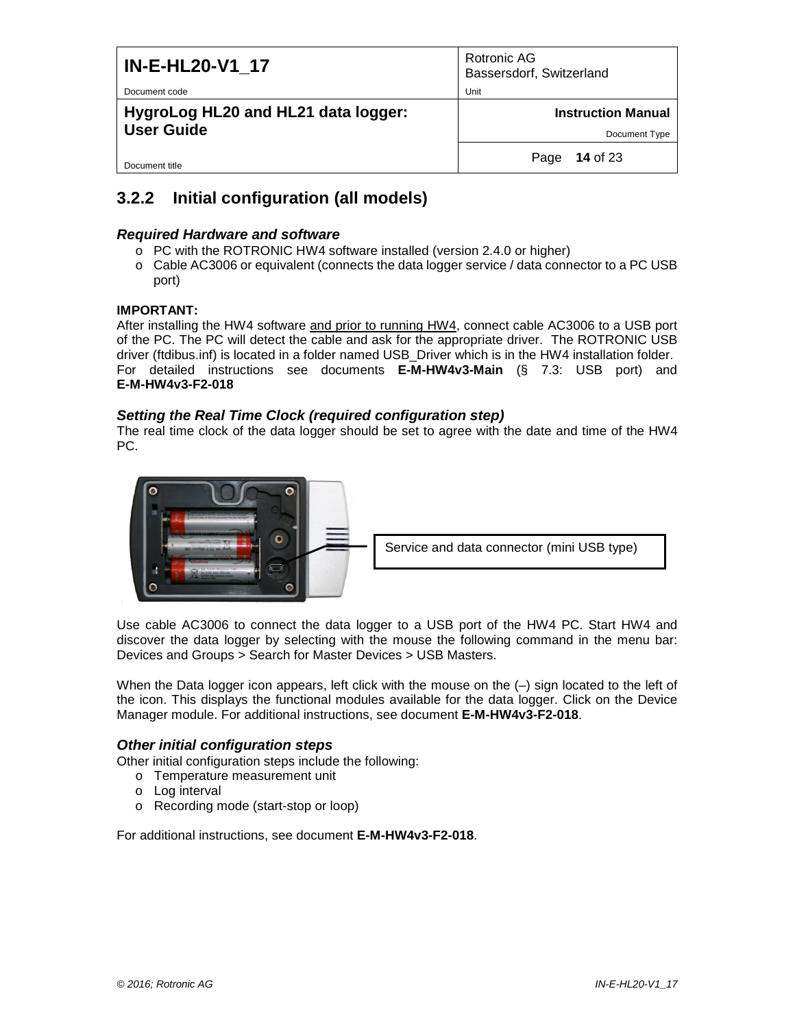| <b>IN-E-HL20-V1 17</b>                               | Rotronic AG<br>Bassersdorf, Switzerland |
|------------------------------------------------------|-----------------------------------------|
| Document code<br>HygroLog HL20 and HL21 data logger: | Unit<br><b>Instruction Manual</b>       |
| <b>User Guide</b>                                    | Document Type                           |
| Document title                                       | <b>14</b> of 23<br>Page                 |

### **3.2.2 Initial configuration (all models)**

#### *Required Hardware and software*

- o PC with the ROTRONIC HW4 software installed (version 2.4.0 or higher)
- o Cable AC3006 or equivalent (connects the data logger service / data connector to a PC USB port)

#### **IMPORTANT:**

After installing the HW4 software and prior to running HW4, connect cable AC3006 to a USB port of the PC. The PC will detect the cable and ask for the appropriate driver. The ROTRONIC USB driver (ftdibus.inf) is located in a folder named USB\_Driver which is in the HW4 installation folder. For detailed instructions see documents **E-M-HW4v3-Main** (§ 7.3: USB port) and **E-M-HW4v3-F2-018**

#### *Setting the Real Time Clock (required configuration step)*

The real time clock of the data logger should be set to agree with the date and time of the HW4 PC.



Use cable AC3006 to connect the data logger to a USB port of the HW4 PC. Start HW4 and discover the data logger by selecting with the mouse the following command in the menu bar: Devices and Groups > Search for Master Devices > USB Masters.

When the Data logger icon appears, left click with the mouse on the (–) sign located to the left of the icon. This displays the functional modules available for the data logger. Click on the Device Manager module. For additional instructions, see document **E-M-HW4v3-F2-018**.

#### *Other initial configuration steps*

Other initial configuration steps include the following:

- o Temperature measurement unit
- o Log interval
- o Recording mode (start-stop or loop)

For additional instructions, see document **E-M-HW4v3-F2-018**.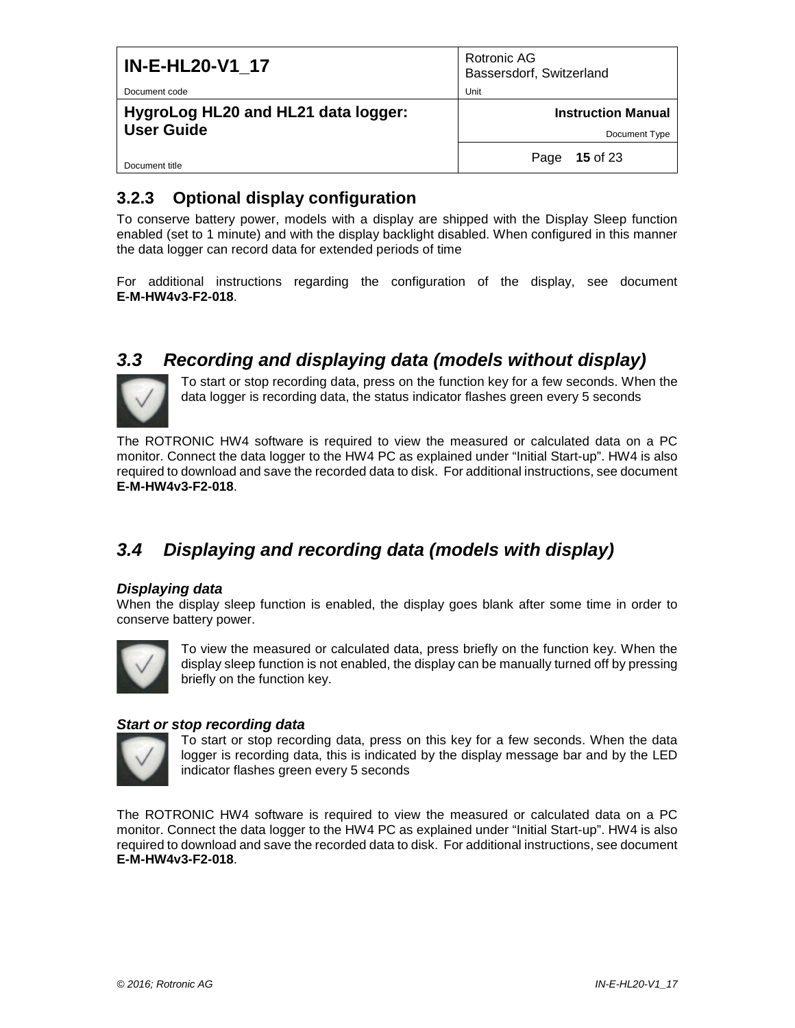| <b>IN-E-HL20-V1 17</b>                                   | Rotronic AG<br>Bassersdorf, Switzerland    |
|----------------------------------------------------------|--------------------------------------------|
| Document code                                            | Unit                                       |
| HygroLog HL20 and HL21 data logger:<br><b>User Guide</b> | <b>Instruction Manual</b><br>Document Type |
| Document title                                           | 15 of 23<br>Page                           |

### **3.2.3 Optional display configuration**

To conserve battery power, models with a display are shipped with the Display Sleep function enabled (set to 1 minute) and with the display backlight disabled. When configured in this manner the data logger can record data for extended periods of time

For additional instructions regarding the configuration of the display, see document **E-M-HW4v3-F2-018**.

## <span id="page-14-0"></span>*3.3 Recording and displaying data (models without display)*



To start or stop recording data, press on the function key for a few seconds. When the data logger is recording data, the status indicator flashes green every 5 seconds

The ROTRONIC HW4 software is required to view the measured or calculated data on a PC monitor. Connect the data logger to the HW4 PC as explained under "Initial Start-up". HW4 is also required to download and save the recorded data to disk. For additional instructions, see document **E-M-HW4v3-F2-018**.

# <span id="page-14-1"></span>*3.4 Displaying and recording data (models with display)*

#### *Displaying data*

When the display sleep function is enabled, the display goes blank after some time in order to conserve battery power.



To view the measured or calculated data, press briefly on the function key. When the display sleep function is not enabled, the display can be manually turned off by pressing briefly on the function key.

#### *Start or stop recording data*



To start or stop recording data, press on this key for a few seconds. When the data logger is recording data, this is indicated by the display message bar and by the LED indicator flashes green every 5 seconds

The ROTRONIC HW4 software is required to view the measured or calculated data on a PC monitor. Connect the data logger to the HW4 PC as explained under "Initial Start-up". HW4 is also required to download and save the recorded data to disk. For additional instructions, see document **E-M-HW4v3-F2-018**.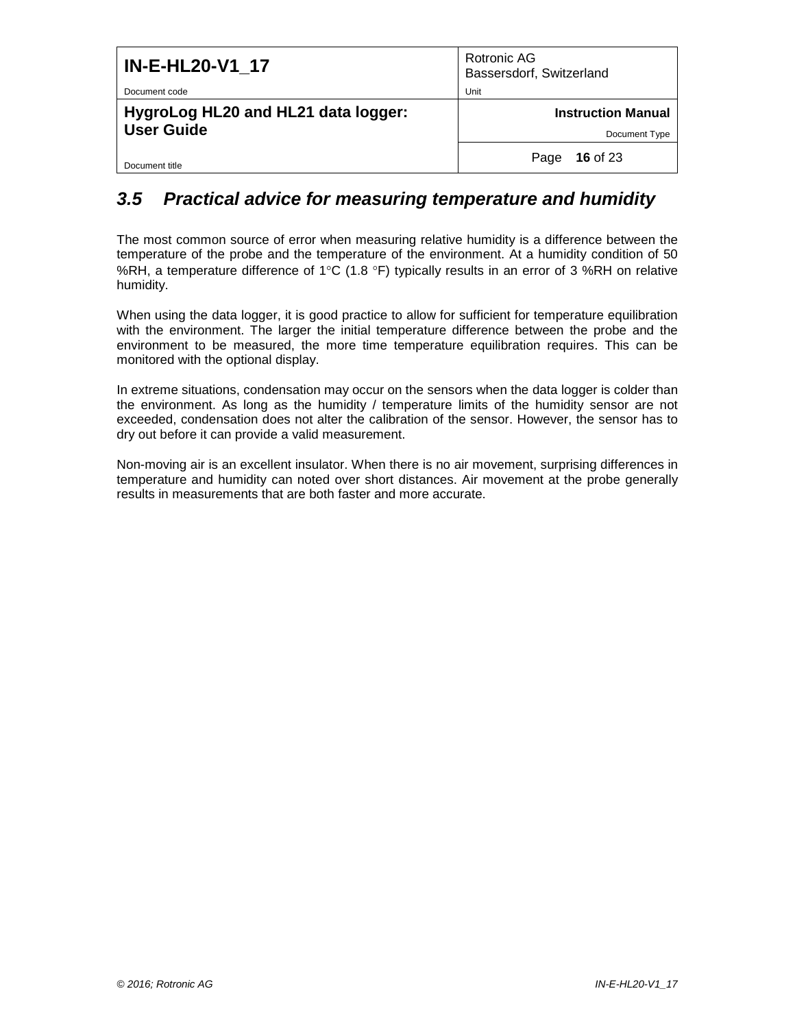| <b>IN-E-HL20-V1 17</b>                                   | Rotronic AG<br>Bassersdorf, Switzerland |
|----------------------------------------------------------|-----------------------------------------|
| Document code                                            | Unit                                    |
| HygroLog HL20 and HL21 data logger:<br><b>User Guide</b> | <b>Instruction Manual</b>               |
|                                                          | Document Type                           |
| Document title                                           | 16 of 23<br>Page                        |

## <span id="page-15-0"></span>*3.5 Practical advice for measuring temperature and humidity*

The most common source of error when measuring relative humidity is a difference between the temperature of the probe and the temperature of the environment. At a humidity condition of 50 %RH, a temperature difference of 1°C (1.8 °F) typically results in an error of 3 %RH on relative humidity.

When using the data logger, it is good practice to allow for sufficient for temperature equilibration with the environment. The larger the initial temperature difference between the probe and the environment to be measured, the more time temperature equilibration requires. This can be monitored with the optional display.

In extreme situations, condensation may occur on the sensors when the data logger is colder than the environment. As long as the humidity / temperature limits of the humidity sensor are not exceeded, condensation does not alter the calibration of the sensor. However, the sensor has to dry out before it can provide a valid measurement.

Non-moving air is an excellent insulator. When there is no air movement, surprising differences in temperature and humidity can noted over short distances. Air movement at the probe generally results in measurements that are both faster and more accurate.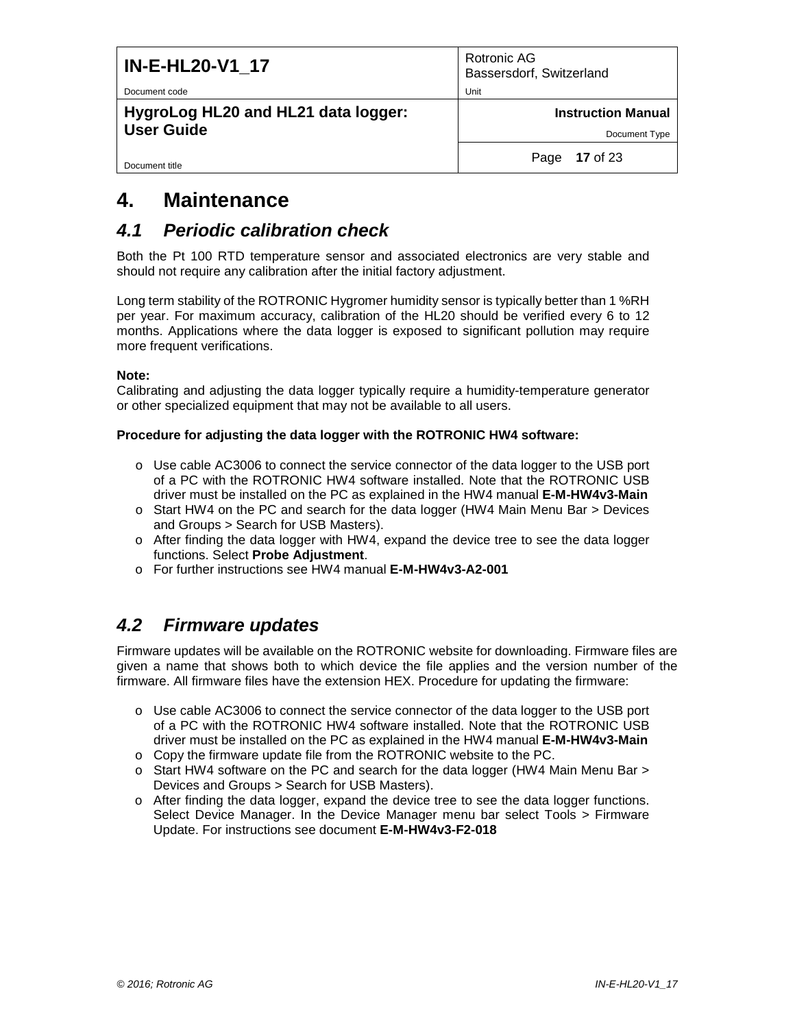| <b>IN-E-HL20-V1_17</b>              | Rotronic AG<br>Bassersdorf, Switzerland |
|-------------------------------------|-----------------------------------------|
| Document code                       | Unit                                    |
| HygroLog HL20 and HL21 data logger: | <b>Instruction Manual</b>               |
| <b>User Guide</b>                   | Document Type                           |
| Document title                      | Page 17 of 23                           |

# <span id="page-16-0"></span>**4. Maintenance**

### <span id="page-16-1"></span>*4.1 Periodic calibration check*

Both the Pt 100 RTD temperature sensor and associated electronics are very stable and should not require any calibration after the initial factory adjustment.

Long term stability of the ROTRONIC Hygromer humidity sensor is typically better than 1 %RH per year. For maximum accuracy, calibration of the HL20 should be verified every 6 to 12 months. Applications where the data logger is exposed to significant pollution may require more frequent verifications.

#### **Note:**

Calibrating and adjusting the data logger typically require a humidity-temperature generator or other specialized equipment that may not be available to all users.

#### **Procedure for adjusting the data logger with the ROTRONIC HW4 software:**

- o Use cable AC3006 to connect the service connector of the data logger to the USB port of a PC with the ROTRONIC HW4 software installed. Note that the ROTRONIC USB driver must be installed on the PC as explained in the HW4 manual **E-M-HW4v3-Main**
- o Start HW4 on the PC and search for the data logger (HW4 Main Menu Bar > Devices and Groups > Search for USB Masters).
- $\circ$  After finding the data logger with HW4, expand the device tree to see the data logger functions. Select **Probe Adjustment**.
- o For further instructions see HW4 manual **E-M-HW4v3-A2-001**

## <span id="page-16-2"></span>*4.2 Firmware updates*

Firmware updates will be available on the ROTRONIC website for downloading. Firmware files are given a name that shows both to which device the file applies and the version number of the firmware. All firmware files have the extension HEX. Procedure for updating the firmware:

- o Use cable AC3006 to connect the service connector of the data logger to the USB port of a PC with the ROTRONIC HW4 software installed. Note that the ROTRONIC USB driver must be installed on the PC as explained in the HW4 manual **E-M-HW4v3-Main**
- o Copy the firmware update file from the ROTRONIC website to the PC.
- $\circ$  Start HW4 software on the PC and search for the data logger (HW4 Main Menu Bar  $>$ Devices and Groups > Search for USB Masters).
- o After finding the data logger, expand the device tree to see the data logger functions. Select Device Manager. In the Device Manager menu bar select Tools > Firmware Update. For instructions see document **E-M-HW4v3-F2-018**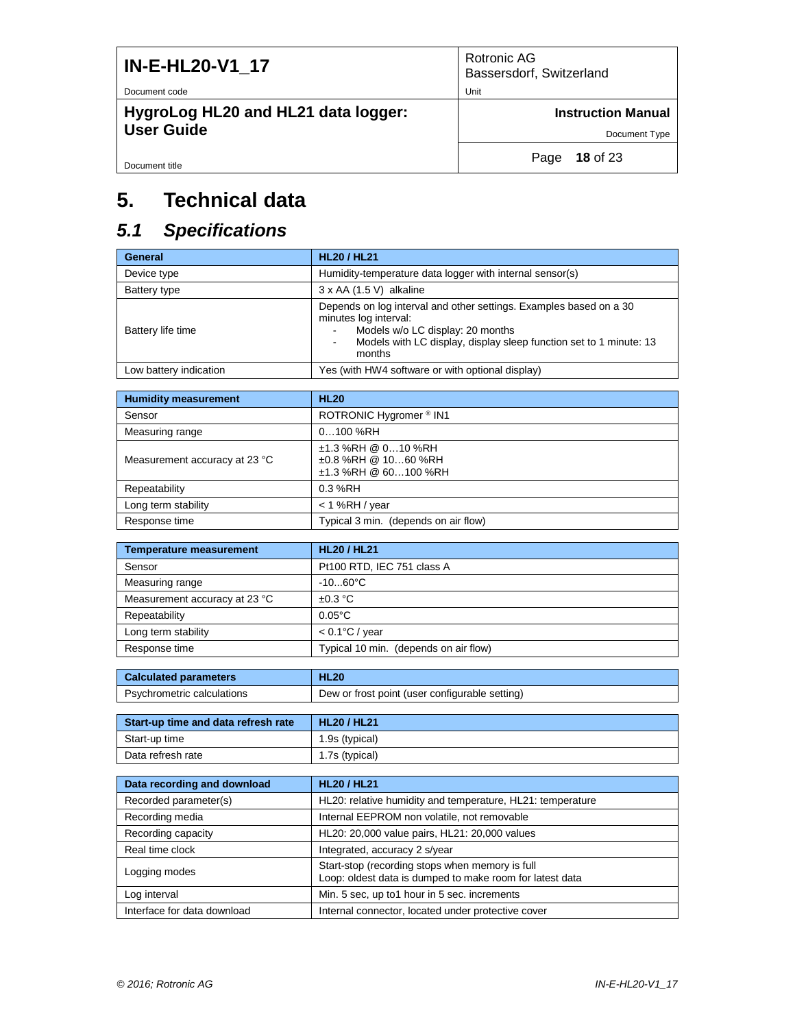| <b>IN-E-HL20-V1 17</b>              | Rotronic AG<br>Bassersdorf, Switzerland |
|-------------------------------------|-----------------------------------------|
| Document code                       | Unit                                    |
| HygroLog HL20 and HL21 data logger: | <b>Instruction Manual</b>               |
| <b>User Guide</b>                   | Document Type                           |
| Document title                      | <b>18 of 23</b><br>Page                 |

# <span id="page-17-0"></span>**5. Technical data**

# <span id="page-17-1"></span>*5.1 Specifications*

| General                | <b>HL20 / HL21</b>                                                                                                                                                                                              |
|------------------------|-----------------------------------------------------------------------------------------------------------------------------------------------------------------------------------------------------------------|
| Device type            | Humidity-temperature data logger with internal sensor(s)                                                                                                                                                        |
| Battery type           | $3 \times AA$ (1.5 V) alkaline                                                                                                                                                                                  |
| Battery life time      | Depends on log interval and other settings. Examples based on a 30<br>minutes log interval:<br>Models w/o LC display: 20 months<br>Models with LC display, display sleep function set to 1 minute: 13<br>months |
| Low battery indication | Yes (with HW4 software or with optional display)                                                                                                                                                                |

| <b>Humidity measurement</b>   | <b>HL20</b>                                                                |
|-------------------------------|----------------------------------------------------------------------------|
| Sensor                        | ROTRONIC Hygromer <sup>®</sup> IN1                                         |
| Measuring range               | $0100$ %RH                                                                 |
| Measurement accuracy at 23 °C | $±1.3$ %RH @ 010 %RH<br>$\pm 0.8$ %RH @ 1060 %RH<br>$±1.3$ %RH @ 60100 %RH |
| Repeatability                 | 0.3 %RH                                                                    |
| Long term stability           | $<$ 1 %RH / year                                                           |
| Response time                 | Typical 3 min. (depends on air flow)                                       |

| <b>Temperature measurement</b> | <b>HL20 / HL21</b>                    |
|--------------------------------|---------------------------------------|
| Sensor                         | Pt100 RTD, IEC 751 class A            |
| Measuring range                | $-1060^{\circ}$ C                     |
| Measurement accuracy at 23 °C  | $\pm 0.3$ °C                          |
| Repeatability                  | $0.05^{\circ}$ C                      |
| Long term stability            | $< 0.1$ °C / year                     |
| Response time                  | Typical 10 min. (depends on air flow) |

| <b>Calculated parameters</b> | <b>HL20</b>                                    |  |
|------------------------------|------------------------------------------------|--|
| Psychrometric calculations   | Dew or frost point (user configurable setting) |  |

| Start-up time and data refresh rate | <b>HL20 / HL21</b> |
|-------------------------------------|--------------------|
| Start-up time                       | 1.9s (typical)     |
| Data refresh rate                   | 1.7s (typical)     |

| Data recording and download | <b>HL20 / HL21</b>                                                                                          |
|-----------------------------|-------------------------------------------------------------------------------------------------------------|
| Recorded parameter(s)       | HL20: relative humidity and temperature, HL21: temperature                                                  |
| Recording media             | Internal EEPROM non volatile, not removable                                                                 |
| Recording capacity          | HL20: 20,000 value pairs, HL21: 20,000 values                                                               |
| Real time clock             | Integrated, accuracy 2 s/year                                                                               |
| Logging modes               | Start-stop (recording stops when memory is full<br>Loop: oldest data is dumped to make room for latest data |
| Log interval                | Min. 5 sec, up to 1 hour in 5 sec. increments                                                               |
| Interface for data download | Internal connector, located under protective cover                                                          |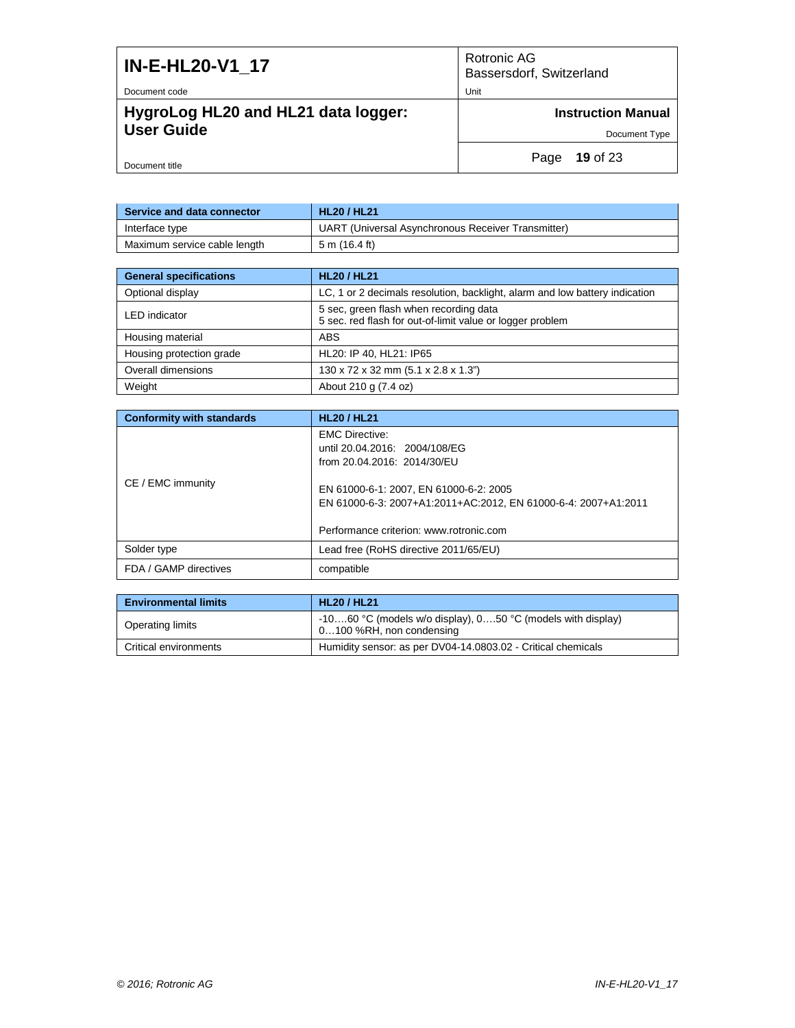| <b>IN-E-HL20-V1 17</b>              | Rotronic AG<br>Bassersdorf, Switzerland |
|-------------------------------------|-----------------------------------------|
| Document code                       | Unit                                    |
| HygroLog HL20 and HL21 data logger: | <b>Instruction Manual</b>               |
| <b>User Guide</b>                   | Document Type                           |
| Document title                      | <b>19 of 23</b><br>Page                 |

| Service and data connector   | <b>HL20 / HL21</b>                                 |
|------------------------------|----------------------------------------------------|
| Interface type               | UART (Universal Asynchronous Receiver Transmitter) |
| Maximum service cable length | 5 m (16.4 ft)                                      |

| <b>General specifications</b> | <b>HL20 / HL21</b>                                                                                  |
|-------------------------------|-----------------------------------------------------------------------------------------------------|
| Optional display              | LC, 1 or 2 decimals resolution, backlight, alarm and low battery indication                         |
| <b>LED</b> indicator          | 5 sec, green flash when recording data<br>5 sec. red flash for out-of-limit value or logger problem |
| Housing material              | ABS                                                                                                 |
| Housing protection grade      | HL20: IP 40, HL21: IP65                                                                             |
| Overall dimensions            | 130 x 72 x 32 mm (5.1 x 2.8 x 1.3")                                                                 |
| Weight                        | About 210 g (7.4 oz)                                                                                |

| <b>Conformity with standards</b> | <b>HL20 / HL21</b>                                                                                       |
|----------------------------------|----------------------------------------------------------------------------------------------------------|
| CE / EMC immunity                | <b>EMC Directive:</b><br>until 20.04.2016: 2004/108/EG<br>from 20.04.2016: 2014/30/EU                    |
|                                  | EN 61000-6-1: 2007, EN 61000-6-2: 2005<br>EN 61000-6-3: 2007+A1:2011+AC:2012, EN 61000-6-4: 2007+A1:2011 |
|                                  | Performance criterion: www.rotronic.com                                                                  |
| Solder type                      | Lead free (RoHS directive 2011/65/EU)                                                                    |
| FDA / GAMP directives            | compatible                                                                                               |

| <b>Environmental limits</b> | <b>HL20 / HL21</b>                                                                          |
|-----------------------------|---------------------------------------------------------------------------------------------|
| <b>Operating limits</b>     | $-1060$ °C (models w/o display), $050$ °C (models with display)<br>0100 %RH, non condensing |
| Critical environments       | Humidity sensor: as per DV04-14.0803.02 - Critical chemicals                                |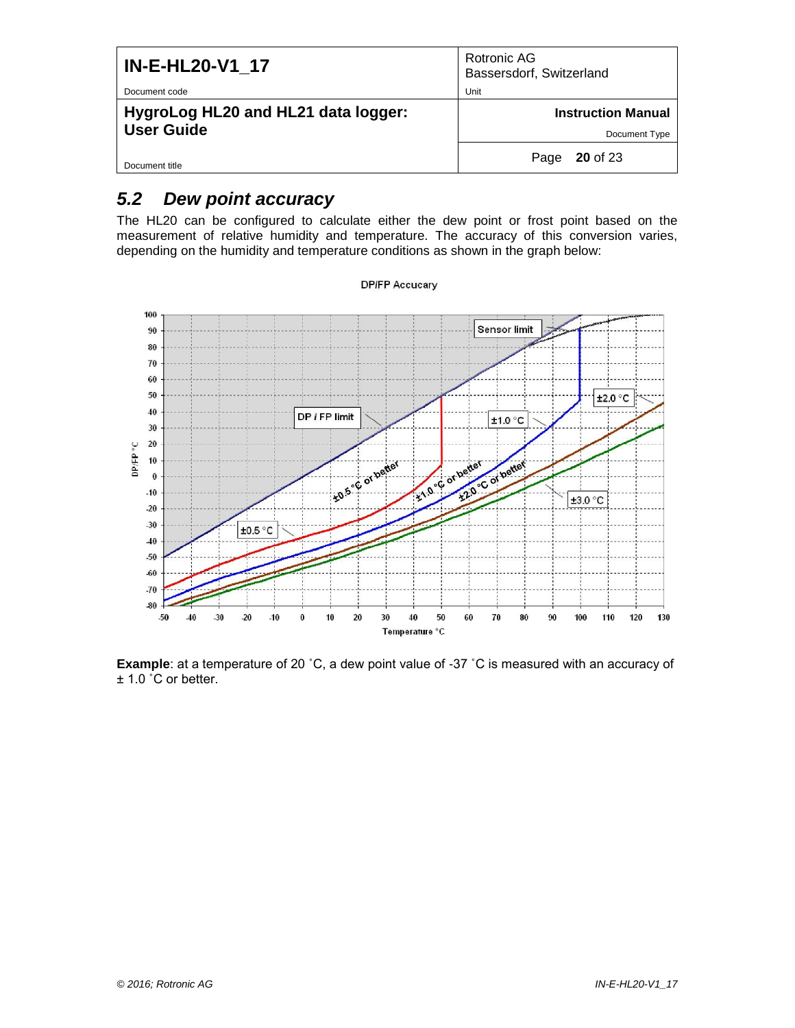| <b>IN-E-HL20-V1 17</b>                                   | Rotronic AG<br>Bassersdorf, Switzerland |
|----------------------------------------------------------|-----------------------------------------|
| Document code                                            | Unit                                    |
| HygroLog HL20 and HL21 data logger:<br><b>User Guide</b> | <b>Instruction Manual</b>               |
|                                                          | Document Type                           |
| Document title                                           | $20$ of 23<br>Page                      |

# <span id="page-19-0"></span>*5.2 Dew point accuracy*

The HL20 can be configured to calculate either the dew point or frost point based on the measurement of relative humidity and temperature. The accuracy of this conversion varies, depending on the humidity and temperature conditions as shown in the graph below:



**Example**: at a temperature of 20 ˚C, a dew point value of -37 ˚C is measured with an accuracy of ± 1.0 ˚C or better.

#### **DP/FP Accucary**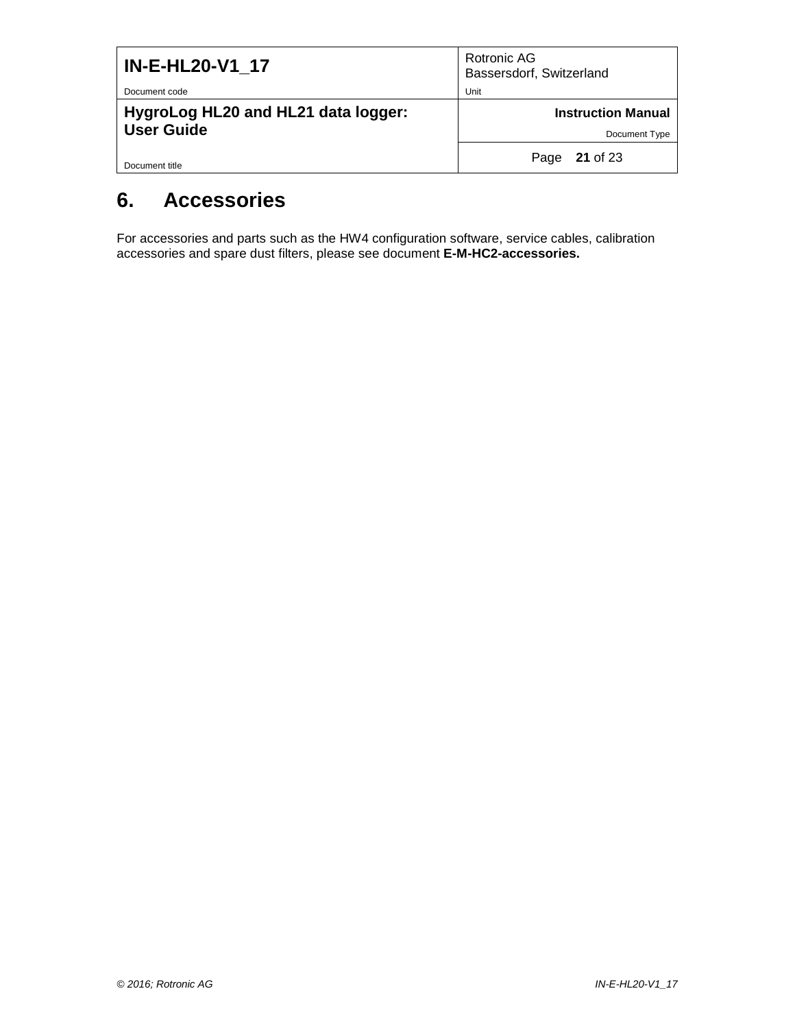| <b>IN-E-HL20-V1_17</b>                                   | Rotronic AG<br>Bassersdorf, Switzerland |
|----------------------------------------------------------|-----------------------------------------|
| Document code                                            | Unit                                    |
| HygroLog HL20 and HL21 data logger:<br><b>User Guide</b> | <b>Instruction Manual</b>               |
|                                                          | Document Type                           |
| Document title                                           | Page 21 of 23                           |

# <span id="page-20-0"></span>**6. Accessories**

For accessories and parts such as the HW4 configuration software, service cables, calibration accessories and spare dust filters, please see document **E-M-HC2-accessories.**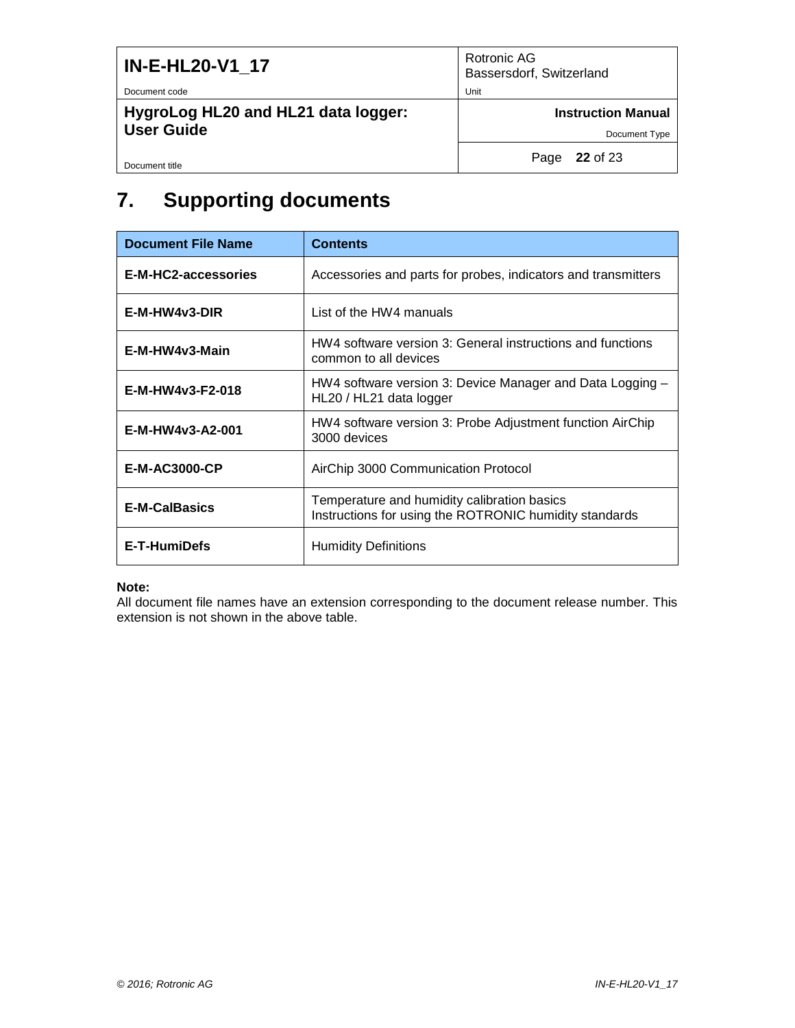| <b>IN-E-HL20-V1_17</b>              | Rotronic AG<br>Bassersdorf, Switzerland |
|-------------------------------------|-----------------------------------------|
| Document code                       | Unit                                    |
| HygroLog HL20 and HL21 data logger: | <b>Instruction Manual</b>               |
| <b>User Guide</b>                   | Document Type                           |
| Document title                      | Page 22 of 23                           |

# <span id="page-21-0"></span>**7. Supporting documents**

| <b>Document File Name</b> | <b>Contents</b>                                                                                       |  |
|---------------------------|-------------------------------------------------------------------------------------------------------|--|
| E-M-HC2-accessories       | Accessories and parts for probes, indicators and transmitters                                         |  |
| $E-M-HW4v3-DIR$           | List of the HW4 manuals                                                                               |  |
| E-M-HW4v3-Main            | HW4 software version 3: General instructions and functions<br>common to all devices                   |  |
| E-M-HW4v3-F2-018          | HW4 software version 3: Device Manager and Data Logging -<br>HL20 / HL21 data logger                  |  |
| E-M-HW4v3-A2-001          | HW4 software version 3: Probe Adjustment function AirChip<br>3000 devices                             |  |
| <b>E-M-AC3000-CP</b>      | AirChip 3000 Communication Protocol                                                                   |  |
| <b>E-M-CalBasics</b>      | Temperature and humidity calibration basics<br>Instructions for using the ROTRONIC humidity standards |  |
| E-T-HumiDefs              | <b>Humidity Definitions</b>                                                                           |  |

#### **Note:**

All document file names have an extension corresponding to the document release number. This extension is not shown in the above table.